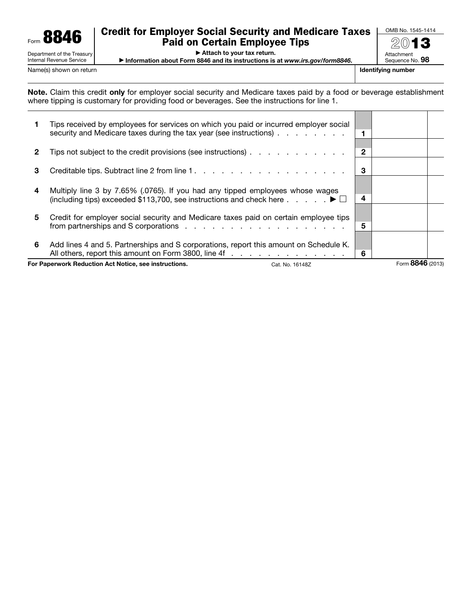

Internal Revenue Service

## Credit for Employer Social Security and Medicare Taxes Paid on Certain Employee Tips

OMB No. 1545-1414 2013 Attachment

▶ Attach to your tax return.

▶ Information about Form 8846 and its instructions is at *www.irs.gov/form8846*.

Sequence No. 98 Name(s) shown on return **Identifying number**  $\blacksquare$  **Identifying number**  $\blacksquare$  **Identifying number** 

┑

Note. Claim this credit only for employer social security and Medicare taxes paid by a food or beverage establishment where tipping is customary for providing food or beverages. See the instructions for line 1.

| For Paperwork Reduction Act Notice, see instructions.<br>Cat. No. 16148Z |                                                                                                                                                                                             |   | Form 8846 (2013) |  |
|--------------------------------------------------------------------------|---------------------------------------------------------------------------------------------------------------------------------------------------------------------------------------------|---|------------------|--|
| 6                                                                        | Add lines 4 and 5. Partnerships and S corporations, report this amount on Schedule K.<br>All others, report this amount on Form 3800, line 4f                                               | 6 |                  |  |
| 5                                                                        | Credit for employer social security and Medicare taxes paid on certain employee tips                                                                                                        | 5 |                  |  |
| 4                                                                        | Multiply line 3 by 7.65% (.0765). If you had any tipped employees whose wages<br>(including tips) exceeded \$113,700, see instructions and check here $\ldots$ , $\blacktriangleright \Box$ | 4 |                  |  |
| 3                                                                        |                                                                                                                                                                                             | 3 |                  |  |
| $\mathbf{2}$                                                             | Tips not subject to the credit provisions (see instructions)                                                                                                                                | 2 |                  |  |
|                                                                          | Tips received by employees for services on which you paid or incurred employer social<br>security and Medicare taxes during the tax year (see instructions)                                 | 1 |                  |  |
|                                                                          |                                                                                                                                                                                             |   |                  |  |